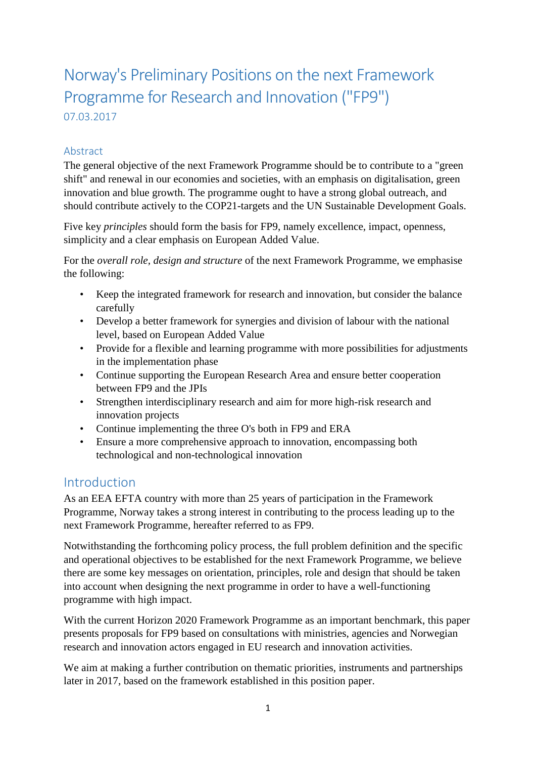# Norway's Preliminary Positions on the next Framework Programme for Research and Innovation ("FP9") 07.03.2017

#### Abstract

The general objective of the next Framework Programme should be to contribute to a "green shift" and renewal in our economies and societies, with an emphasis on digitalisation, green innovation and blue growth. The programme ought to have a strong global outreach, and should contribute actively to the COP21-targets and the UN Sustainable Development Goals.

Five key *principles* should form the basis for FP9, namely excellence, impact, openness, simplicity and a clear emphasis on European Added Value.

For the *overall role, design and structure* of the next Framework Programme, we emphasise the following:

- Keep the integrated framework for research and innovation, but consider the balance carefully
- Develop a better framework for synergies and division of labour with the national level, based on European Added Value
- Provide for a flexible and learning programme with more possibilities for adjustments in the implementation phase
- Continue supporting the European Research Area and ensure better cooperation between FP9 and the JPIs
- Strengthen interdisciplinary research and aim for more high-risk research and innovation projects
- Continue implementing the three O's both in FP9 and ERA
- Ensure a more comprehensive approach to innovation, encompassing both technological and non-technological innovation

## **Introduction**

As an EEA EFTA country with more than 25 years of participation in the Framework Programme, Norway takes a strong interest in contributing to the process leading up to the next Framework Programme, hereafter referred to as FP9.

Notwithstanding the forthcoming policy process, the full problem definition and the specific and operational objectives to be established for the next Framework Programme, we believe there are some key messages on orientation, principles, role and design that should be taken into account when designing the next programme in order to have a well-functioning programme with high impact.

With the current Horizon 2020 Framework Programme as an important benchmark, this paper presents proposals for FP9 based on consultations with ministries, agencies and Norwegian research and innovation actors engaged in EU research and innovation activities.

We aim at making a further contribution on thematic priorities, instruments and partnerships later in 2017, based on the framework established in this position paper.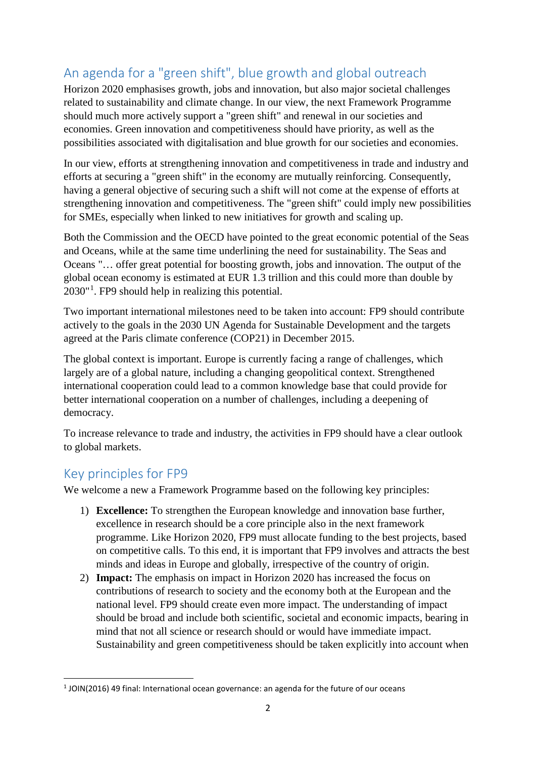## An agenda for a "green shift", blue growth and global outreach

Horizon 2020 emphasises growth, jobs and innovation, but also major societal challenges related to sustainability and climate change. In our view, the next Framework Programme should much more actively support a "green shift" and renewal in our societies and economies. Green innovation and competitiveness should have priority, as well as the possibilities associated with digitalisation and blue growth for our societies and economies.

In our view, efforts at strengthening innovation and competitiveness in trade and industry and efforts at securing a "green shift" in the economy are mutually reinforcing. Consequently, having a general objective of securing such a shift will not come at the expense of efforts at strengthening innovation and competitiveness. The "green shift" could imply new possibilities for SMEs, especially when linked to new initiatives for growth and scaling up.

Both the Commission and the OECD have pointed to the great economic potential of the Seas and Oceans, while at the same time underlining the need for sustainability. The Seas and Oceans "… offer great potential for boosting growth, jobs and innovation. The output of the global ocean economy is estimated at EUR 1.3 trillion and this could more than double by 2030"[1](#page-1-0) . FP9 should help in realizing this potential.

Two important international milestones need to be taken into account: FP9 should contribute actively to the goals in the 2030 UN Agenda for Sustainable Development and the targets agreed at the Paris climate conference (COP21) in December 2015.

The global context is important. Europe is currently facing a range of challenges, which largely are of a global nature, including a changing geopolitical context. Strengthened international cooperation could lead to a common knowledge base that could provide for better international cooperation on a number of challenges, including a deepening of democracy.

To increase relevance to trade and industry, the activities in FP9 should have a clear outlook to global markets.

## Key principles for FP9

We welcome a new a Framework Programme based on the following key principles:

- 1) **Excellence:** To strengthen the European knowledge and innovation base further, excellence in research should be a core principle also in the next framework programme. Like Horizon 2020, FP9 must allocate funding to the best projects, based on competitive calls. To this end, it is important that FP9 involves and attracts the best minds and ideas in Europe and globally, irrespective of the country of origin.
- 2) **Impact:** The emphasis on impact in Horizon 2020 has increased the focus on contributions of research to society and the economy both at the European and the national level. FP9 should create even more impact. The understanding of impact should be broad and include both scientific, societal and economic impacts, bearing in mind that not all science or research should or would have immediate impact. Sustainability and green competitiveness should be taken explicitly into account when

<span id="page-1-0"></span> $1$  JOIN(2016) 49 final: International ocean governance: an agenda for the future of our oceans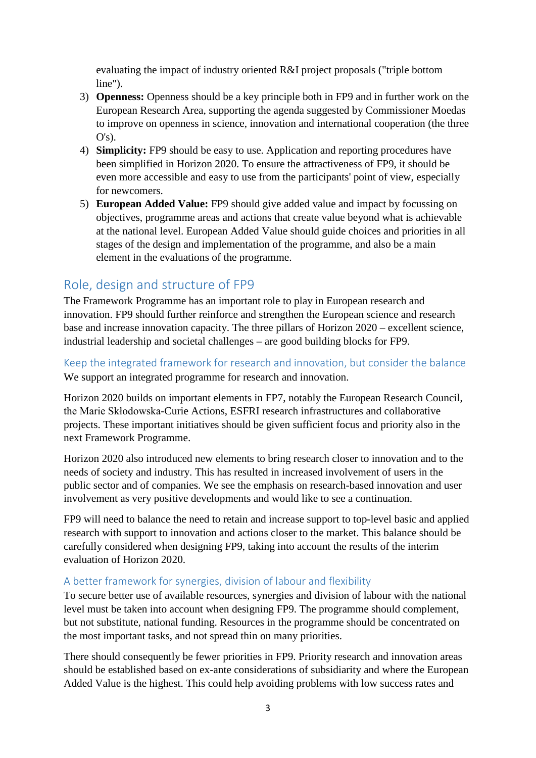evaluating the impact of industry oriented R&I project proposals ("triple bottom line").

- 3) **Openness:** Openness should be a key principle both in FP9 and in further work on the European Research Area, supporting the agenda suggested by Commissioner Moedas to improve on openness in science, innovation and international cooperation (the three  $O's$ ).
- 4) **Simplicity:** FP9 should be easy to use. Application and reporting procedures have been simplified in Horizon 2020. To ensure the attractiveness of FP9, it should be even more accessible and easy to use from the participants' point of view, especially for newcomers.
- 5) **European Added Value:** FP9 should give added value and impact by focussing on objectives, programme areas and actions that create value beyond what is achievable at the national level. European Added Value should guide choices and priorities in all stages of the design and implementation of the programme, and also be a main element in the evaluations of the programme.

## Role, design and structure of FP9

The Framework Programme has an important role to play in European research and innovation. FP9 should further reinforce and strengthen the European science and research base and increase innovation capacity. The three pillars of Horizon 2020 – excellent science, industrial leadership and societal challenges – are good building blocks for FP9.

Keep the integrated framework for research and innovation, but consider the balance We support an integrated programme for research and innovation.

Horizon 2020 builds on important elements in FP7, notably the European Research Council, the Marie Skłodowska-Curie Actions, ESFRI research infrastructures and collaborative projects. These important initiatives should be given sufficient focus and priority also in the next Framework Programme.

Horizon 2020 also introduced new elements to bring research closer to innovation and to the needs of society and industry. This has resulted in increased involvement of users in the public sector and of companies. We see the emphasis on research-based innovation and user involvement as very positive developments and would like to see a continuation.

FP9 will need to balance the need to retain and increase support to top-level basic and applied research with support to innovation and actions closer to the market. This balance should be carefully considered when designing FP9, taking into account the results of the interim evaluation of Horizon 2020.

#### A better framework for synergies, division of labour and flexibility

To secure better use of available resources, synergies and division of labour with the national level must be taken into account when designing FP9. The programme should complement, but not substitute, national funding. Resources in the programme should be concentrated on the most important tasks, and not spread thin on many priorities.

There should consequently be fewer priorities in FP9. Priority research and innovation areas should be established based on ex-ante considerations of subsidiarity and where the European Added Value is the highest. This could help avoiding problems with low success rates and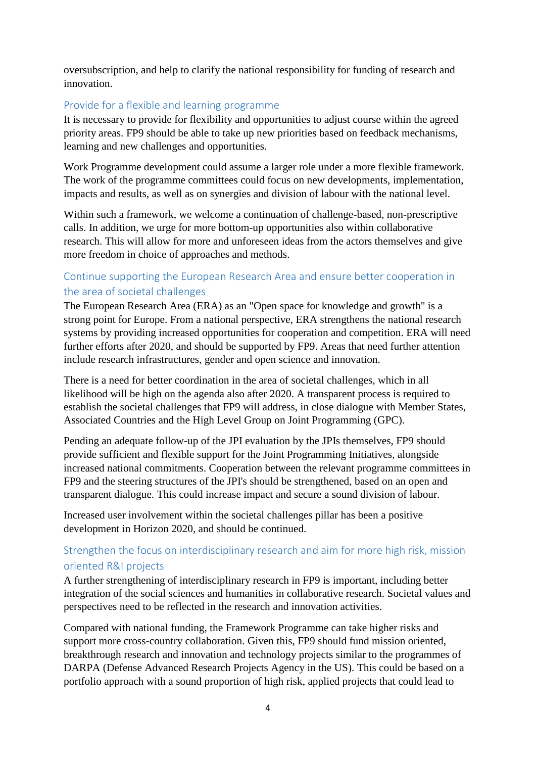oversubscription, and help to clarify the national responsibility for funding of research and innovation.

#### Provide for a flexible and learning programme

It is necessary to provide for flexibility and opportunities to adjust course within the agreed priority areas. FP9 should be able to take up new priorities based on feedback mechanisms, learning and new challenges and opportunities.

Work Programme development could assume a larger role under a more flexible framework. The work of the programme committees could focus on new developments, implementation, impacts and results, as well as on synergies and division of labour with the national level.

Within such a framework, we welcome a continuation of challenge-based, non-prescriptive calls. In addition, we urge for more bottom-up opportunities also within collaborative research. This will allow for more and unforeseen ideas from the actors themselves and give more freedom in choice of approaches and methods.

#### Continue supporting the European Research Area and ensure better cooperation in the area of societal challenges

The European Research Area (ERA) as an "Open space for knowledge and growth" is a strong point for Europe. From a national perspective, ERA strengthens the national research systems by providing increased opportunities for cooperation and competition. ERA will need further efforts after 2020, and should be supported by FP9. Areas that need further attention include research infrastructures, gender and open science and innovation.

There is a need for better coordination in the area of societal challenges, which in all likelihood will be high on the agenda also after 2020. A transparent process is required to establish the societal challenges that FP9 will address, in close dialogue with Member States, Associated Countries and the High Level Group on Joint Programming (GPC).

Pending an adequate follow-up of the JPI evaluation by the JPIs themselves, FP9 should provide sufficient and flexible support for the Joint Programming Initiatives, alongside increased national commitments. Cooperation between the relevant programme committees in FP9 and the steering structures of the JPI's should be strengthened, based on an open and transparent dialogue. This could increase impact and secure a sound division of labour.

Increased user involvement within the societal challenges pillar has been a positive development in Horizon 2020, and should be continued.

#### Strengthen the focus on interdisciplinary research and aim for more high risk, mission oriented R&I projects

A further strengthening of interdisciplinary research in FP9 is important, including better integration of the social sciences and humanities in collaborative research. Societal values and perspectives need to be reflected in the research and innovation activities.

Compared with national funding, the Framework Programme can take higher risks and support more cross-country collaboration. Given this, FP9 should fund mission oriented, breakthrough research and innovation and technology projects similar to the programmes of DARPA (Defense Advanced Research Projects Agency in the US). This could be based on a portfolio approach with a sound proportion of high risk, applied projects that could lead to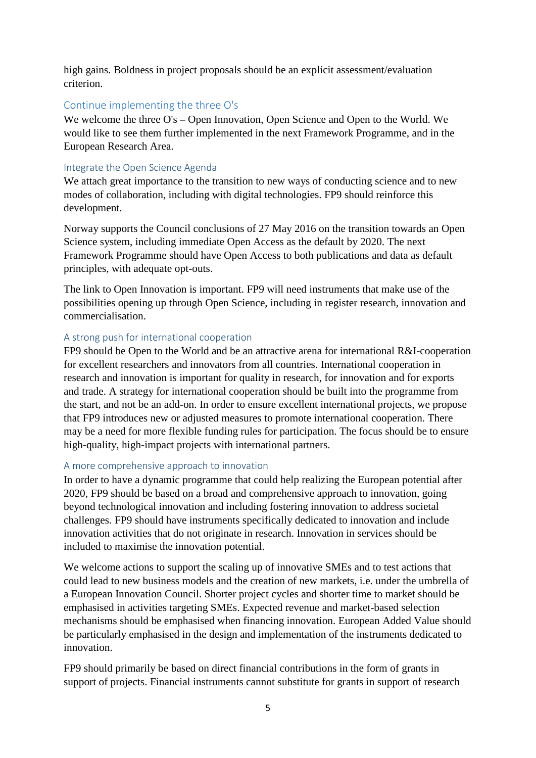high gains. Boldness in project proposals should be an explicit assessment/evaluation criterion.

#### Continue implementing the three O's

We welcome the three O's – Open Innovation, Open Science and Open to the World. We would like to see them further implemented in the next Framework Programme, and in the European Research Area.

#### Integrate the Open Science Agenda

We attach great importance to the transition to new ways of conducting science and to new modes of collaboration, including with digital technologies. FP9 should reinforce this development.

Norway supports the Council conclusions of 27 May 2016 on the transition towards an Open Science system, including immediate Open Access as the default by 2020. The next Framework Programme should have Open Access to both publications and data as default principles, with adequate opt-outs.

The link to Open Innovation is important. FP9 will need instruments that make use of the possibilities opening up through Open Science, including in register research, innovation and commercialisation.

#### A strong push for international cooperation

FP9 should be Open to the World and be an attractive arena for international R&I-cooperation for excellent researchers and innovators from all countries. International cooperation in research and innovation is important for quality in research, for innovation and for exports and trade. A strategy for international cooperation should be built into the programme from the start, and not be an add-on. In order to ensure excellent international projects, we propose that FP9 introduces new or adjusted measures to promote international cooperation. There may be a need for more flexible funding rules for participation. The focus should be to ensure high-quality, high-impact projects with international partners.

#### A more comprehensive approach to innovation

In order to have a dynamic programme that could help realizing the European potential after 2020, FP9 should be based on a broad and comprehensive approach to innovation, going beyond technological innovation and including fostering innovation to address societal challenges. FP9 should have instruments specifically dedicated to innovation and include innovation activities that do not originate in research. Innovation in services should be included to maximise the innovation potential.

We welcome actions to support the scaling up of innovative SMEs and to test actions that could lead to new business models and the creation of new markets, i.e. under the umbrella of a European Innovation Council. Shorter project cycles and shorter time to market should be emphasised in activities targeting SMEs. Expected revenue and market-based selection mechanisms should be emphasised when financing innovation. European Added Value should be particularly emphasised in the design and implementation of the instruments dedicated to innovation.

FP9 should primarily be based on direct financial contributions in the form of grants in support of projects. Financial instruments cannot substitute for grants in support of research